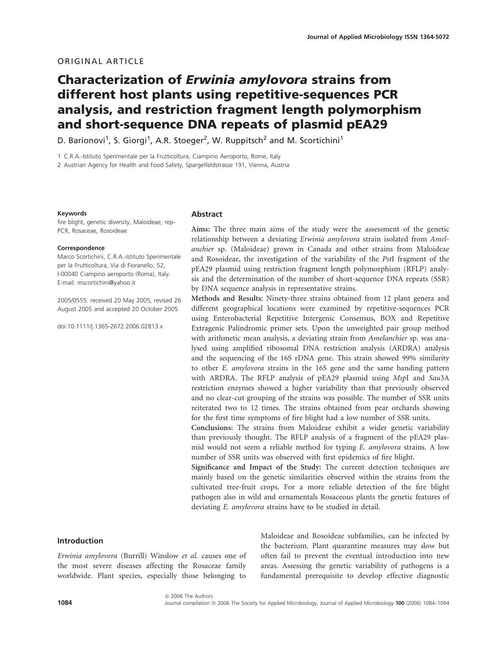# ORIGINAL ARTICLE

# Characterization of Erwinia amylovora strains from different host plants using repetitive-sequences PCR analysis, and restriction fragment length polymorphism and short-sequence DNA repeats of plasmid pEA29

D. Barionovi<sup>1</sup>, S. Giorgi<sup>1</sup>, A.R. Stoeger<sup>2</sup>, W. Ruppitsch<sup>2</sup> and M. Scortichini<sup>1</sup>

1 C.R.A.-Istituto Sperimentale per la Frutticoltura, Ciampino Aeroporto, Rome, Italy

2 Austrian Agency for Health and Food Safety, Spargelfeldstrasse 191, Vienna, Austria

#### Keywords

fire blight, genetic diversity, Maloideae, rep-PCR, Rosaceae, Rosoideae.

#### Correspondence

Marco Scortichini, C.R.A.-Istituto Sperimentale per la Frutticoltura, Via di Fioranello, 52, I-00040 Ciampino aeroporto (Roma), Italy. E-mail: mscortichini@yahoo.it

2005/0555: received 20 May 2005, revised 26 August 2005 and accepted 20 October 2005

doi:10.1111/j.1365-2672.2006.02813.x

## Abstract

Aims: The three main aims of the study were the assessment of the genetic relationship between a deviating Erwinia amylovora strain isolated from Amelanchier sp. (Maloideae) grown in Canada and other strains from Maloideae and Rosoideae, the investigation of the variability of the PstI fragment of the pEA29 plasmid using restriction fragment length polymorphism (RFLP) analysis and the determination of the number of short-sequence DNA repeats (SSR) by DNA sequence analysis in representative strains.

Methods and Results: Ninety-three strains obtained from 12 plant genera and different geographical locations were examined by repetitive-sequences PCR using Enterobacterial Repetitive Intergenic Consensus, BOX and Repetitive Extragenic Palindromic primer sets. Upon the unweighted pair group method with arithmetic mean analysis, a deviating strain from Amelanchier sp. was analysed using amplified ribosomal DNA restriction analysis (ARDRA) analysis and the sequencing of the 16S rDNA gene. This strain showed 99% similarity to other E. amylovora strains in the 16S gene and the same banding pattern with ARDRA. The RFLP analysis of pEA29 plasmid using MspI and Sau3A restriction enzymes showed a higher variability than that previously observed and no clear-cut grouping of the strains was possible. The number of SSR units reiterated two to 12 times. The strains obtained from pear orchards showing for the first time symptoms of fire blight had a low number of SSR units.

Conclusions: The strains from Maloideae exhibit a wider genetic variability than previously thought. The RFLP analysis of a fragment of the pEA29 plasmid would not seem a reliable method for typing E. amylovora strains. A low number of SSR units was observed with first epidemics of fire blight.

Significance and Impact of the Study: The current detection techniques are mainly based on the genetic similarities observed within the strains from the cultivated tree-fruit crops. For a more reliable detection of the fire blight pathogen also in wild and ornamentals Rosaceous plants the genetic features of deviating E. amylovora strains have to be studied in detail.

# Introduction

Erwinia amylovora (Burrill) Winslow et al. causes one of the most severe diseases affecting the Rosaceae family worldwide. Plant species, especially those belonging to

Maloideae and Rosoideae subfamilies, can be infected by the bacterium. Plant quarantine measures may slow but often fail to prevent the eventual introduction into new areas. Assessing the genetic variability of pathogens is a fundamental prerequisite to develop effective diagnostic

ª 2006 The Authors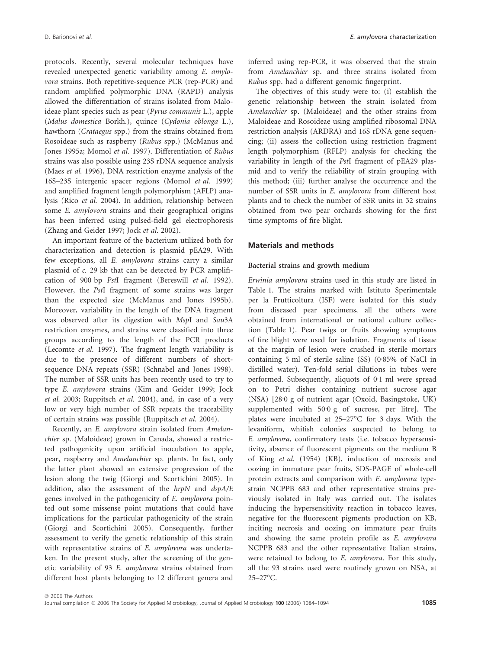protocols. Recently, several molecular techniques have revealed unexpected genetic variability among E. amylovora strains. Both repetitive-sequence PCR (rep-PCR) and random amplified polymorphic DNA (RAPD) analysis allowed the differentiation of strains isolated from Maloideae plant species such as pear (Pyrus communis L.), apple (Malus domestica Borkh.), quince (Cydonia oblonga L.), hawthorn (Crataegus spp.) from the strains obtained from Rosoideae such as raspberry (Rubus spp.) (McManus and Jones 1995a; Momol et al. 1997). Differentiation of Rubus strains was also possible using 23S rDNA sequence analysis (Maes et al. 1996), DNA restriction enzyme analysis of the 16S–23S intergenic spacer regions (Momol et al. 1999) and amplified fragment length polymorphism (AFLP) analysis (Rico et al. 2004). In addition, relationship between some E. amylovora strains and their geographical origins has been inferred using pulsed-field gel electrophoresis (Zhang and Geider 1997; Jock et al. 2002).

An important feature of the bacterium utilized both for characterization and detection is plasmid pEA29. With few exceptions, all E. amylovora strains carry a similar plasmid of c. 29 kb that can be detected by PCR amplification of 900 bp PstI fragment (Bereswill et al. 1992). However, the PstI fragment of some strains was larger than the expected size (McManus and Jones 1995b). Moreover, variability in the length of the DNA fragment was observed after its digestion with MspI and Sau3A restriction enzymes, and strains were classified into three groups according to the length of the PCR products (Lecomte et al. 1997). The fragment length variability is due to the presence of different numbers of shortsequence DNA repeats (SSR) (Schnabel and Jones 1998). The number of SSR units has been recently used to try to type E. amylovora strains (Kim and Geider 1999; Jock et al. 2003; Ruppitsch et al. 2004), and, in case of a very low or very high number of SSR repeats the traceability of certain strains was possible (Ruppitsch et al. 2004).

Recently, an E. amylovora strain isolated from Amelanchier sp. (Maloideae) grown in Canada, showed a restricted pathogenicity upon artificial inoculation to apple, pear, raspberry and Amelanchier sp. plants. In fact, only the latter plant showed an extensive progression of the lesion along the twig (Giorgi and Scortichini 2005). In addition, also the assessment of the hrpN and dspA/E genes involved in the pathogenicity of E. amylovora pointed out some missense point mutations that could have implications for the particular pathogenicity of the strain (Giorgi and Scortichini 2005). Consequently, further assessment to verify the genetic relationship of this strain with representative strains of E. amylovora was undertaken. In the present study, after the screening of the genetic variability of 93 E. amylovora strains obtained from different host plants belonging to 12 different genera and inferred using rep-PCR, it was observed that the strain from Amelanchier sp. and three strains isolated from Rubus spp. had a different genomic fingerprint.

The objectives of this study were to: (i) establish the genetic relationship between the strain isolated from Amelanchier sp. (Maloideae) and the other strains from Maloideae and Rosoideae using amplified ribosomal DNA restriction analysis (ARDRA) and 16S rDNA gene sequencing; (ii) assess the collection using restriction fragment length polymorphism (RFLP) analysis for checking the variability in length of the PstI fragment of pEA29 plasmid and to verify the reliability of strain grouping with this method; (iii) further analyse the occurrence and the number of SSR units in E. amylovora from different host plants and to check the number of SSR units in 32 strains obtained from two pear orchards showing for the first time symptoms of fire blight.

# Materials and methods

## Bacterial strains and growth medium

Erwinia amylovora strains used in this study are listed in Table 1. The strains marked with Istituto Sperimentale per la Frutticoltura (ISF) were isolated for this study from diseased pear specimens, all the others were obtained from international or national culture collection (Table 1). Pear twigs or fruits showing symptoms of fire blight were used for isolation. Fragments of tissue at the margin of lesion were crushed in sterile mortars containing 5 ml of sterile saline (SS) ( $0.85\%$  of NaCl in distilled water). Ten-fold serial dilutions in tubes were performed. Subsequently, aliquots of 0.1 ml were spread on to Petri dishes containing nutrient sucrose agar (NSA) [28.0 g of nutrient agar (Oxoid, Basingstoke, UK) supplemented with  $50.0 g$  of sucrose, per litre]. The plates were incubated at  $25-27$ °C for 3 days. With the levaniform, whitish colonies suspected to belong to E. amylovora, confirmatory tests (i.e. tobacco hypersensitivity, absence of fluorescent pigments on the medium B of King et al. (1954) (KB), induction of necrosis and oozing in immature pear fruits, SDS-PAGE of whole-cell protein extracts and comparison with E. amylovora typestrain NCPPB 683 and other representative strains previously isolated in Italy was carried out. The isolates inducing the hypersensitivity reaction in tobacco leaves, negative for the fluorescent pigments production on KB, inciting necrosis and oozing on immature pear fruits and showing the same protein profile as E. amylovora NCPPB 683 and the other representative Italian strains, were retained to belong to E. amylovora. For this study, all the 93 strains used were routinely grown on NSA, at 25-27°C.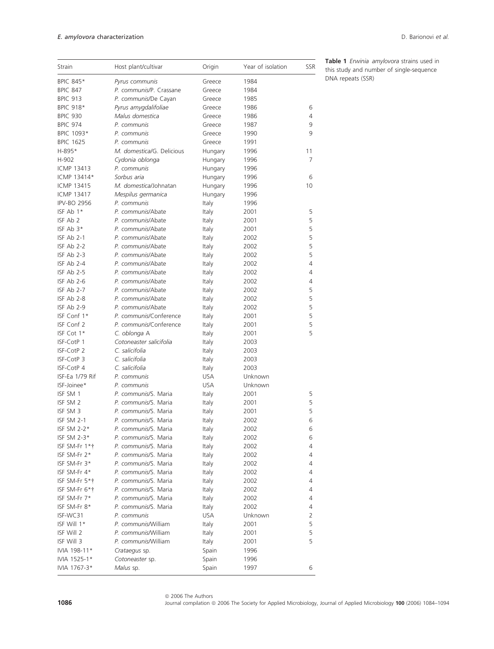| Strain             | Host plant/cultivar                          | Origin     | Year of isolation | SSR    |
|--------------------|----------------------------------------------|------------|-------------------|--------|
| BPIC 845*          | Pyrus communis                               | Greece     | 1984              |        |
| <b>BPIC 847</b>    | P. communis/P. Crassane                      | Greece     | 1984              |        |
| <b>BPIC 913</b>    | P. communis/De Cayan                         | Greece     | 1985              |        |
| BPIC 918*          | Pyrus amygdalifoliae                         | Greece     | 1986              | 6      |
| <b>BPIC 930</b>    | Malus domestica                              | Greece     | 1986              | 4      |
| <b>BPIC 974</b>    | P. communis                                  | Greece     | 1987              | 9      |
| BPIC 1093*         | P. communis                                  | Greece     | 1990              | 9      |
| <b>BPIC 1625</b>   | P. communis                                  | Greece     | 1991              |        |
| H-895*             | M. domestica/G. Delicious                    | Hungary    | 1996              | 11     |
| H-902              | Cydonia oblonga                              | Hungary    | 1996              | 7      |
| <b>ICMP 13413</b>  | P. communis                                  | Hungary    | 1996              |        |
| ICMP 13414*        | Sorbus aria                                  | Hungary    | 1996              | 6      |
| ICMP 13415         | M. domestica/Johnatan                        | Hungary    | 1996              | 10     |
| ICMP 13417         | Mespilus germanica                           | Hungary    | 1996              |        |
| <b>IPV-BO 2956</b> | P. communis                                  | Italy      | 1996              |        |
| ISF Ab 1*          | P. communis/Abate                            | Italy      | 2001              | 5      |
| ISF Ab 2           | P. communis/Abate                            | Italy      | 2001              | 5      |
| ISF Ab $3*$        | P. communis/Abate                            | Italy      | 2001              | 5      |
| ISF Ab 2-1         | P. communis/Abate                            | Italy      | 2002              | 5      |
| ISF Ab 2-2         | P. communis/Abate                            | Italy      | 2002              | 5      |
| ISF Ab 2-3         | P. communis/Abate                            | Italy      | 2002              | 5      |
| ISF Ab 2-4         | P. communis/Abate                            | Italy      | 2002              | 4      |
| ISF Ab 2-5         | P. communis/Abate                            | Italy      | 2002              | 4      |
| ISF Ab 2-6         | P. communis/Abate                            | Italy      | 2002              | 4      |
| ISF Ab 2-7         | P. communis/Abate                            | Italy      | 2002              | 5      |
| ISF Ab 2-8         | P. communis/Abate                            | Italy      | 2002              | 5      |
| ISF Ab 2-9         | P. communis/Abate                            | Italy      | 2002              | 5      |
| ISF Conf 1*        | P. communis/Conference                       | Italy      | 2001              | 5      |
| ISF Conf 2         | P. communis/Conference                       | Italy      | 2001              | 5      |
| ISF Cot 1*         | C. oblonga A                                 | Italy      | 2001              | 5      |
| ISF-CotP 1         | Cotoneaster salicifolia                      | Italy      | 2003              |        |
| ISF-CotP 2         | C. salicifolia                               | Italy      | 2003              |        |
| ISF-CotP 3         | C. salicifolia                               | Italy      | 2003              |        |
| ISF-CotP 4         | C. salicifolia                               | Italy      | 2003              |        |
| ISF-Ea 1/79 Rif    | P. communis                                  | <b>USA</b> | Unknown           |        |
| ISF-Joinee*        | P. communis                                  | <b>USA</b> | Unknown           |        |
| ISF SM 1           | P. communis/S. Maria                         |            | 2001              |        |
|                    |                                              | Italy      |                   | 5      |
| ISF SM 2           | P. communis/S. Maria<br>P. communis/S. Maria | Italy      | 2001              | 5<br>5 |
| ISF SM 3           | P. communis/S. Maria                         | Italy      | 2001<br>2002      | 6      |
| ISF SM 2-1         |                                              | Italy      |                   |        |
| ISF SM 2-2*        | P. communis/S. Maria                         | Italy      | 2002              | 6      |
| ISF SM 2-3 $*$     | P. communis/S. Maria                         | Italy      | 2002              | 6      |
| ISF SM-Fr 1*†      | P. communis/S. Maria                         | Italy      | 2002              | 4      |
| ISF SM-Fr 2*       | P. communis/S. Maria                         | Italy      | 2002              | 4      |
| ISF SM-Fr 3*       | P. communis/S. Maria                         | Italy      | 2002              | 4      |
| ISF SM-Fr 4*       | P. communis/S. Maria                         | Italy      | 2002              | 4      |
| ISF SM-Fr 5*†      | P. communis/S. Maria                         | Italy      | 2002              | 4      |
| ISF SM-Fr 6*†      | P. communis/S. Maria                         | Italy      | 2002              | 4      |
| ISF SM-Fr 7*       | P. communis/S. Maria                         | Italy      | 2002              | 4      |
| ISF SM-Fr 8*       | P. communis/S. Maria                         | Italy      | 2002              | 4      |
| ISF-WC31           | P. communis                                  | USA        | Unknown           | 2      |
| ISF Will 1*        | P. communis/William                          | Italy      | 2001              | 5      |
| ISF Will 2         | P. communis/William                          | Italy      | 2001              | 5      |
| ISF Will 3         | P. communis/William                          | Italy      | 2001              | 5      |
| IVIA 198-11*       | Crataegus sp.                                | Spain      | 1996              |        |
| IVIA 1525-1*       | Cotoneaster sp.                              | Spain      | 1996              |        |
| IVIA 1767-3*       | Malus sp.                                    | Spain      | 1997              | 6      |

Table 1 Erwinia amylovora strains used in this study and number of single-sequence DNA repeats (SSR)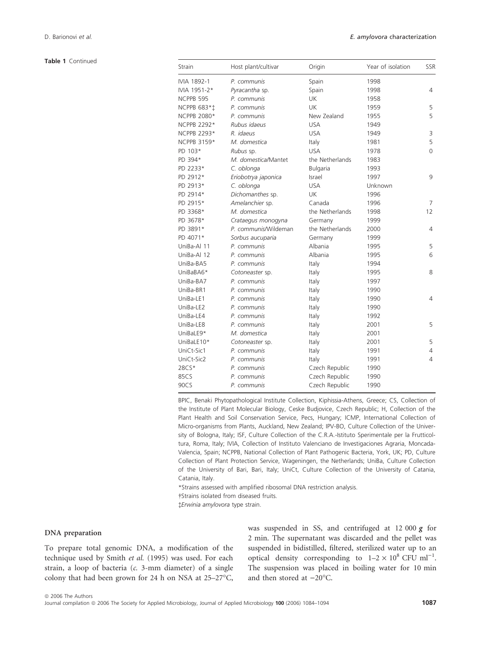Table 1 Continued

| Strain       | Host plant/cultivar  | Origin          | Year of isolation | <b>SSR</b> |
|--------------|----------------------|-----------------|-------------------|------------|
| IVIA 1892-1  | P. communis          | Spain           | 1998              |            |
| IVIA 1951-2* | Pyracantha sp.       | Spain           | 1998              | 4          |
| NCPPB 595    | P. communis          | UK              | 1958              |            |
| NCPPB 683*1  | P. communis          | <b>UK</b>       | 1959              | 5          |
| NCPPB 2080*  | P. communis          | New Zealand     | 1955              | 5          |
| NCPPB 2292*  | Rubus idaeus         | <b>USA</b>      | 1949              |            |
| NCPPB 2293*  | R. idaeus            | <b>USA</b>      | 1949              | 3          |
| NCPPB 3159*  | M. domestica         | Italy           | 1981              | 5          |
| PD 103*      | Rubus sp.            | <b>USA</b>      | 1978              | 0          |
| PD 394*      | M. domestica/Mantet  | the Netherlands | 1983              |            |
| PD 2233*     | C. oblonga           | Bulgaria        | 1993              |            |
| PD 2912*     | Eriobotrya japonica  | Israel          | 1997              | 9          |
| PD 2913*     | C. oblonga           | <b>USA</b>      | Unknown           |            |
| PD 2914*     | Dichomanthes sp.     | <b>UK</b>       | 1996              |            |
| PD 2915*     | Amelanchier sp.      | Canada          | 1996              | 7          |
| PD 3368*     | M. domestica         | the Netherlands | 1998              | 12         |
| PD 3678*     | Crataegus monogyna   | Germany         | 1999              |            |
| PD 3891*     | P. communis/Wildeman | the Netherlands | 2000              | 4          |
| PD 4071*     | Sorbus aucuparia     | Germany         | 1999              |            |
| UniBa-Al 11  | P. communis          | Albania         | 1995              | 5          |
| UniBa-Al 12  | P. communis          | Albania         | 1995              | 6          |
| UniBa-BA5    | P. communis          | Italy           | 1994              |            |
| UniBaBA6*    | Cotoneaster sp.      | Italy           | 1995              | 8          |
| UniBa-BA7    | P. communis          | Italy           | 1997              |            |
| UniBa-BR1    | P. communis          | Italy           | 1990              |            |
| UniBa-LE1    | P. communis          | Italy           | 1990              | 4          |
| UniBa-LE2    | P. communis          | Italy           | 1990              |            |
| UniBa-LE4    | P. communis          | Italy           | 1992              |            |
| UniBa-LE8    | P. communis          | Italy           | 2001              | 5          |
| UniBaLE9*    | M. domestica         | Italy           | 2001              |            |
| UniBaLE10*   | Cotoneaster sp.      | Italy           | 2001              | 5          |
| UniCt-Sic1   | P. communis          | Italy           | 1991              | 4          |
| UniCt-Sic2   | P. communis          | Italy           | 1991              | 4          |
| 28CS*        | P. communis          | Czech Republic  | 1990              |            |
| 85CS         | P. communis          | Czech Republic  | 1990              |            |
| 90CS         | P. communis          | Czech Republic  | 1990              |            |

BPIC, Benaki Phytopathological Institute Collection, Kiphissia-Athens, Greece; CS, Collection of the Institute of Plant Molecular Biology, Ceske Budjovice, Czech Republic; H, Collection of the Plant Health and Soil Conservation Service, Pecs, Hungary; ICMP, International Collection of Micro-organisms from Plants, Auckland, New Zealand; IPV-BO, Culture Collection of the University of Bologna, Italy; ISF, Culture Collection of the C.R.A.-Istituto Sperimentale per la Frutticoltura, Roma, Italy; IVIA, Collection of Instituto Valenciano de Investigaciones Agraria, Moncada-Valencia, Spain; NCPPB, National Collection of Plant Pathogenic Bacteria, York, UK; PD, Culture Collection of Plant Protection Service, Wageningen, the Netherlands; UniBa, Culture Collection of the University of Bari, Bari, Italy; UniCt, Culture Collection of the University of Catania, Catania, Italy.

\*Strains assessed with amplified ribosomal DNA restriction analysis.

Strains isolated from diseased fruits.

-Erwinia amylovora type strain.

## DNA preparation

To prepare total genomic DNA, a modification of the technique used by Smith et al. (1995) was used. For each strain, a loop of bacteria (c. 3-mm diameter) of a single colony that had been grown for 24 h on NSA at  $25-27^{\circ}C$ ,

was suspended in SS, and centrifuged at 12 000 *g* for 2 min. The supernatant was discarded and the pellet was suspended in bidistilled, filtered, sterilized water up to an optical density corresponding to  $1-2 \times 10^8$  CFU ml<sup>-1</sup>. The suspension was placed in boiling water for 10 min and then stored at  $-20^{\circ}$ C.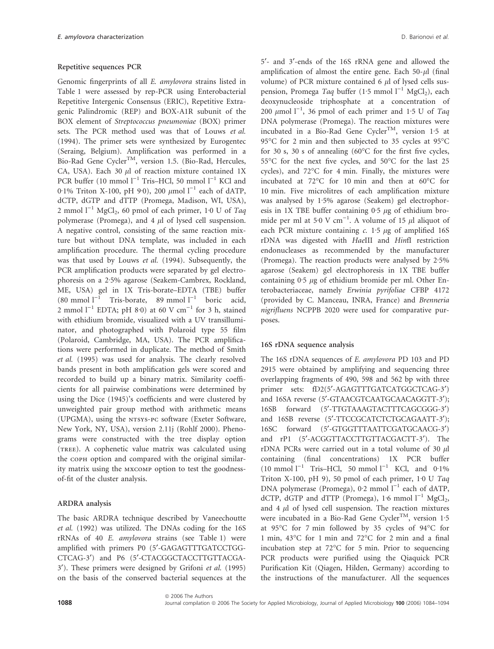# Repetitive sequences PCR

Genomic fingerprints of all E. amylovora strains listed in Table 1 were assessed by rep-PCR using Enterobacterial Repetitive Intergenic Consensus (ERIC), Repetitive Extragenic Palindromic (REP) and BOX-A1R subunit of the BOX element of Streptococcus pneumoniae (BOX) primer sets. The PCR method used was that of Louws et al. (1994). The primer sets were synthesized by Eurogentec (Seraing, Belgium). Amplification was performed in a Bio-Rad Gene Cycler<sup>TM</sup>, version 1.5. (Bio-Rad, Hercules, CA, USA). Each 30  $\mu$ l of reaction mixture contained 1X PCR buffer (10 mmol  $l^{-1}$  Tris–HCl, 50 mmol  $l^{-1}$  KCl and 0.1% Triton X-100, pH 9.0), 200  $\mu$ mol l<sup>-1</sup> each of dATP, dCTP, dGTP and dTTP (Promega, Madison, WI, USA), 2 mmol  $1^{-1}$  MgCl<sub>2</sub>, 60 pmol of each primer, 1<sup>.</sup>0 U of Taq polymerase (Promega), and  $4 \mu l$  of lysed cell suspension. A negative control, consisting of the same reaction mixture but without DNA template, was included in each amplification procedure. The thermal cycling procedure was that used by Louws et al. (1994). Subsequently, the PCR amplification products were separated by gel electrophoresis on a 2.5% agarose (Seakem-Cambrex, Rockland, ME, USA) gel in 1X Tris-borate–EDTA (TBE) buffer (80 mmol  $l^{-1}$  Tris-borate, 89 mmol  $l^{-1}$  boric acid, 2 mmol  $l^{-1}$  EDTA; pH 8.0) at 60 V cm<sup>-1</sup> for 3 h, stained with ethidium bromide, visualized with a UV transilluminator, and photographed with Polaroid type 55 film (Polaroid, Cambridge, MA, USA). The PCR amplifications were performed in duplicate. The method of Smith et al. (1995) was used for analysis. The clearly resolved bands present in both amplification gels were scored and recorded to build up a binary matrix. Similarity coefficients for all pairwise combinations were determined by using the Dice (1945)'s coefficients and were clustered by unweighted pair group method with arithmetic means (UPGMA), using the NTSYS-PC software (Exeter Software, New York, NY, USA), version 2.11j (Rohlf 2000). Phenograms were constructed with the tree display option (tree). A cophenetic value matrix was calculated using the coph option and compared with the original similarity matrix using the mxcomp option to test the goodnessof-fit of the cluster analysis.

#### ARDRA analysis

The basic ARDRA technique described by Vaneechoutte et al. (1992) was utilized. The DNAs coding for the 16S rRNAs of 40 E. amylovora strains (see Table 1) were amplified with primers P0 (5'-GAGAGTTTGATCCTGG-CTCAG-3¢) and P6 (5¢-CTACGGCTACCTTGTTACGA-3<sup>'</sup>). These primers were designed by Grifoni *et al.* (1995) on the basis of the conserved bacterial sequences at the

ª 2006 The Authors

5¢- and 3¢-ends of the 16S rRNA gene and allowed the amplification of almost the entire gene. Each  $50-\mu l$  (final volume) of PCR mixture contained 6  $\mu$ l of lysed cells suspension, Promega Taq buffer (1.5 mmol  $l^{-1}$  MgCl<sub>2</sub>), each deoxynucleoside triphosphate at a concentration of 200  $\mu$ mol l<sup>-1</sup>, 36 pmol of each primer and 1.5 U of Taq DNA polymerase (Promega). The reaction mixtures were incubated in a Bio-Rad Gene Cycler<sup>TM</sup>, version 1.5 at 95°C for 2 min and then subjected to 35 cycles at 95°C for 30 s, 30 s of annealing  $(60^{\circ}$ C for the first five cycles, 55°C for the next five cycles, and 50°C for the last 25 cycles), and  $72^{\circ}$ C for 4 min. Finally, the mixtures were incubated at  $72^{\circ}$ C for 10 min and then at  $60^{\circ}$ C for 10 min. Five microlitres of each amplification mixture was analysed by  $1.5\%$  agarose (Seakem) gel electrophoresis in 1X TBE buffer containing  $0.5 \mu$ g of ethidium bromide per ml at 5<sup>.</sup>0 V cm<sup>-1</sup>. A volume of 15  $\mu$ l aliquot of each PCR mixture containing  $c$ . 1.5  $\mu$ g of amplified 16S rDNA was digested with HaeIII and HinfI restriction endonucleases as recommended by the manufacturer (Promega). The reaction products were analysed by  $2.5\%$ agarose (Seakem) gel electrophoresis in 1X TBE buffer containing  $0.5 \mu$ g of ethidium bromide per ml. Other Enterobacteriaceae, namely Erwinia pyrifoliae CFBP 4172 (provided by C. Manceau, INRA, France) and Brenneria nigrifluens NCPPB 2020 were used for comparative purposes.

#### 16S rDNA sequence analysis

The 16S rDNA sequences of E. amylovora PD 103 and PD 2915 were obtained by amplifying and sequencing three overlapping fragments of 490, 598 and 562 bp with three primer sets: fD2(5'-AGAGTTTGATCATGGCTCAG-3') and 16SA reverse (5'-GTAACGTCAATGCAACAGGTT-3'); 16SB forward (5'-TTGTAAAGTACTTTCAGCGGG-3') and 16SB reverse (5'-TTCCGCATCTCTGCAGAATT-3'); 16SC forward (5'-GTGGTTTAATTCGATGCAACG-3') and rP1 (5'-ACGGTTACCTTGTTACGACTT-3'). The rDNA PCRs were carried out in a total volume of 30  $\mu$ l containing (final concentrations) 1X PCR buffer  $(10 \text{ mmol } l^{-1}$  Tris–HCl, 50 mmol  $l^{-1}$  KCl, and 0.1% Triton X-100, pH 9), 50 pmol of each primer,  $1.0 U Taq$ DNA polymerase (Promega), 0.2 mmol  $l^{-1}$  each of dATP, dCTP, dGTP and dTTP (Promega), 1.6 mmol  $l^{-1}$  MgCl<sub>2</sub>, and  $4 \mu l$  of lysed cell suspension. The reaction mixtures were incubated in a Bio-Rad Gene Cycler<sup>TM</sup>, version 1.5 at 95°C for 7 min followed by 35 cycles of 94°C for 1 min, 43°C for 1 min and 72°C for 2 min and a final incubation step at  $72^{\circ}$ C for 5 min. Prior to sequencing PCR products were purified using the Qiaquick PCR Purification Kit (Qiagen, Hilden, Germany) according to the instructions of the manufacturer. All the sequences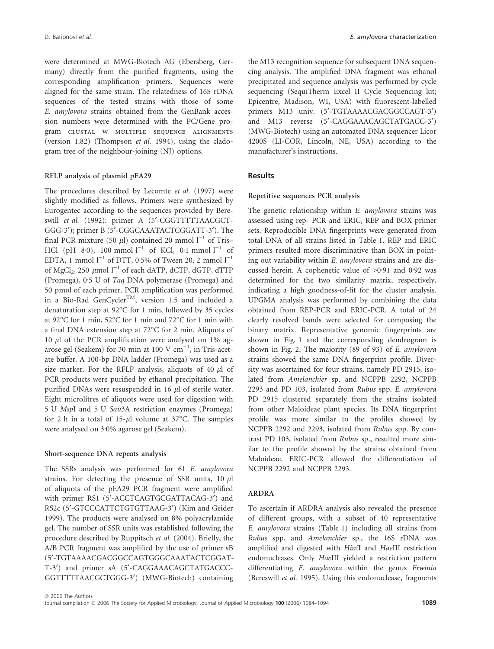were determined at MWG-Biotech AG (Ebersberg, Germany) directly from the purified fragments, using the corresponding amplification primers. Sequences were aligned for the same strain. The relatedness of 16S rDNA sequences of the tested strains with those of some E. amylovora strains obtained from the GenBank accession numbers were determined with the PC/Gene program clustal w multiple sequence alignments (version 1.82) (Thompson et al. 1994), using the cladogram tree of the neighbour-joining (NJ) options.

#### RFLP analysis of plasmid pEA29

The procedures described by Lecomte et al. (1997) were slightly modified as follows. Primers were synthesized by Eurogentec according to the sequences provided by Bereswill et al. (1992): primer A (5'-CGGTTTTTAACGCT-GGG-3'); primer B (5'-CGGCAAATACTCGGATT-3'). The final PCR mixture (50  $\mu$ l) contained 20 mmol l<sup>-1</sup> of Tris– HCl (pH 8 $\cdot$ 0), 100 mmol l<sup>-1</sup> of KCl, 0 $\cdot$ 1 mmol l<sup>-1</sup> of EDTA, 1 mmol  $l^{-1}$  of DTT, 0.5% of Tween 20, 2 mmol  $l^{-1}$ of MgCl<sub>2</sub>, 250  $\mu$ mol l<sup>-1</sup> of each dATP, dCTP, dGTP, dTTP (Promega),  $0.5$  U of Taq DNA polymerase (Promega) and 50 pmol of each primer. PCR amplification was performed in a Bio-Rad GenCycler<sup>TM</sup>, version 1.5 and included a denaturation step at 92°C for 1 min, followed by 35 cycles at 92 $\mathrm{^{\circ}C}$  for 1 min, 52 $\mathrm{^{\circ}C}$  for 1 min and 72 $\mathrm{^{\circ}C}$  for 1 min with a final DNA extension step at 72°C for 2 min. Aliquots of 10  $\mu$ l of the PCR amplification were analysed on 1% agarose gel (Seakem) for 30 min at  $100 \text{ V cm}^{-1}$ , in Tris-acetate buffer. A 100-bp DNA ladder (Promega) was used as a size marker. For the RFLP analysis, aliquots of 40  $\mu$ l of PCR products were purified by ethanol precipitation. The purified DNAs were resuspended in  $16 \mu l$  of sterile water. Eight microlitres of aliquots were used for digestion with 5 U MspI and 5 U Sau3A restriction enzymes (Promega) for 2 h in a total of 15- $\mu$ l volume at 37°C. The samples were analysed on 3.0% agarose gel (Seakem).

#### Short-sequence DNA repeats analysis

The SSRs analysis was performed for 61 E. amylovora strains. For detecting the presence of SSR units,  $10 \mu l$ of aliquots of the pEA29 PCR fragment were amplified with primer RS1 (5'-ACCTCAGTGCGATTACAG-3') and RS2c (5'-GTCCCATTCTGTGTTAAG-3') (Kim and Geider 1999). The products were analysed on 8% polyacrylamide gel. The number of SSR units was established following the procedure described by Ruppitsch et al. (2004). Briefly, the A/B PCR fragment was amplified by the use of primer sB (5¢-TGTAAAACGACGGCCAGTGGGCAAATACTCGGAT-T-3<sup>'</sup>) and primer sA (5'-CAGGAAACAGCTATGACCC-GGTTTTTAACGCTGGG-3¢) (MWG-Biotech) containing

the M13 recognition sequence for subsequent DNA sequencing analysis. The amplified DNA fragment was ethanol precipitated and sequence analysis was performed by cycle sequencing (SequiTherm Excel II Cycle Sequencing kit; Epicentre, Madison, WI, USA) with fluorescent-labelled primers M13 univ. (5'-TGTAAAACGACGGCCAGT-3') and M13 reverse (5'-CAGGAAACAGCTATGACC-3') (MWG-Biotech) using an automated DNA sequencer Licor 4200S (LI-COR, Lincoln, NE, USA) according to the manufacturer's instructions.

# Results

#### Repetitive sequences PCR analysis

The genetic relationship within E. amylovora strains was assessed using rep- PCR and ERIC, REP and BOX primer sets. Reproducible DNA fingerprints were generated from total DNA of all strains listed in Table 1. REP and ERIC primers resulted more discriminative than BOX in pointing out variability within E. amylovora strains and are discussed herein. A cophenetic value of  $>0.91$  and 0.92 was determined for the two similarity matrix, respectively, indicating a high goodness-of-fit for the cluster analysis. UPGMA analysis was performed by combining the data obtained from REP-PCR and ERIC-PCR. A total of 24 clearly resolved bands were selected for composing the binary matrix. Representative genomic fingerprints are shown in Fig. 1 and the corresponding dendrogram is shown in Fig. 2. The majority (89 of 93) of E. amylovora strains showed the same DNA fingerprint profile. Diversity was ascertained for four strains, namely PD 2915, isolated from Amelanchier sp. and NCPPB 2292, NCPPB 2293 and PD 103, isolated from Rubus spp. E. amylovora PD 2915 clustered separately from the strains isolated from other Maloideae plant species. Its DNA fingerprint profile was more similar to the profiles showed by NCPPB 2292 and 2293, isolated from Rubus spp. By contrast PD 103, isolated from Rubus sp., resulted more similar to the profile showed by the strains obtained from Maloideae. ERIC-PCR allowed the differentiation of NCPPB 2292 and NCPPB 2293.

## ARDRA

To ascertain if ARDRA analysis also revealed the presence of different groups, with a subset of 40 representative E. amylovora strains (Table 1) including all strains from Rubus spp. and Amelanchier sp., the 16S rDNA was amplified and digested with HinfI and HaeIII restriction endonucleases. Only HaeIII yielded a restriction pattern differentiating E. amylovora within the genus Erwinia (Bereswill et al. 1995). Using this endonuclease, fragments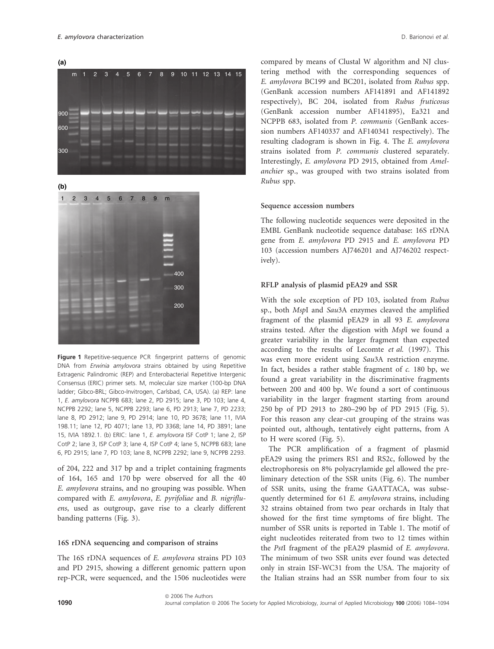**(a)**



**(b)**



Figure 1 Repetitive-sequence PCR fingerprint patterns of genomic DNA from Erwinia amylovora strains obtained by using Repetitive Extragenic Palindromic (REP) and Enterobacterial Repetitive Intergenic Consensus (ERIC) primer sets. M, molecular size marker (100-bp DNA ladder; Gibco-BRL; Gibco-Invitrogen, Carlsbad, CA, USA). (a) REP: lane 1, E. amylovora NCPPB 683; lane 2, PD 2915; lane 3, PD 103; lane 4, NCPPB 2292; lane 5, NCPPB 2293; lane 6, PD 2913; lane 7, PD 2233; lane 8, PD 2912; lane 9, PD 2914; lane 10, PD 3678; lane 11, IVIA 198.11; lane 12, PD 4071; lane 13, PD 3368; lane 14, PD 3891; lane 15, IVIA 1892.1. (b) ERIC: lane 1, E. amylovora ISF CotP 1; lane 2, ISP CotP 2; lane 3, ISP CotP 3; lane 4, ISP CotP 4; lane 5, NCPPB 683; lane 6, PD 2915; lane 7, PD 103; lane 8, NCPPB 2292; lane 9, NCPPB 2293.

of 204, 222 and 317 bp and a triplet containing fragments of 164, 165 and 170 bp were observed for all the 40 E. amylovora strains, and no grouping was possible. When compared with E. amylovora, E. pyrifoliae and B. nigrifluens, used as outgroup, gave rise to a clearly different banding patterns (Fig. 3).

# 16S rDNA sequencing and comparison of strains

The 16S rDNA sequences of E. amylovora strains PD 103 and PD 2915, showing a different genomic pattern upon rep-PCR, were sequenced, and the 1506 nucleotides were compared by means of Clustal W algorithm and NJ clustering method with the corresponding sequences of E. amylovora BC199 and BC201, isolated from Rubus spp. (GenBank accession numbers AF141891 and AF141892 respectively), BC 204, isolated from Rubus fruticosus (GenBank accession number AF141895), Ea321 and NCPPB 683, isolated from P. communis (GenBank accession numbers AF140337 and AF140341 respectively). The resulting cladogram is shown in Fig. 4. The E. amylovora strains isolated from P. communis clustered separately. Interestingly, E. amylovora PD 2915, obtained from Amelanchier sp., was grouped with two strains isolated from Rubus spp.

# Sequence accession numbers

The following nucleotide sequences were deposited in the EMBL GenBank nucleotide sequence database: 16S rDNA gene from E. amylovora PD 2915 and E. amylovora PD 103 (accession numbers AJ746201 and AJ746202 respectively).

# RFLP analysis of plasmid pEA29 and SSR

With the sole exception of PD 103, isolated from Rubus sp., both MspI and Sau3A enzymes cleaved the amplified fragment of the plasmid pEA29 in all 93 E. amylovora strains tested. After the digestion with MspI we found a greater variability in the larger fragment than expected according to the results of Lecomte et al. (1997). This was even more evident using Sau3A restriction enzyme. In fact, besides a rather stable fragment of  $c$ . 180 bp, we found a great variability in the discriminative fragments between 200 and 400 bp. We found a sort of continuous variability in the larger fragment starting from around 250 bp of PD 2913 to 280–290 bp of PD 2915 (Fig. 5). For this reason any clear-cut grouping of the strains was pointed out, although, tentatively eight patterns, from A to H were scored (Fig. 5).

The PCR amplification of a fragment of plasmid pEA29 using the primers RS1 and RS2c, followed by the electrophoresis on 8% polyacrylamide gel allowed the preliminary detection of the SSR units (Fig. 6). The number of SSR units, using the frame GAATTACA, was subsequently determined for 61 E. amylovora strains, including 32 strains obtained from two pear orchards in Italy that showed for the first time symptoms of fire blight. The number of SSR units is reported in Table 1. The motif of eight nucleotides reiterated from two to 12 times within the PstI fragment of the pEA29 plasmid of E. amylovora. The minimum of two SSR units ever found was detected only in strain ISF-WC31 from the USA. The majority of the Italian strains had an SSR number from four to six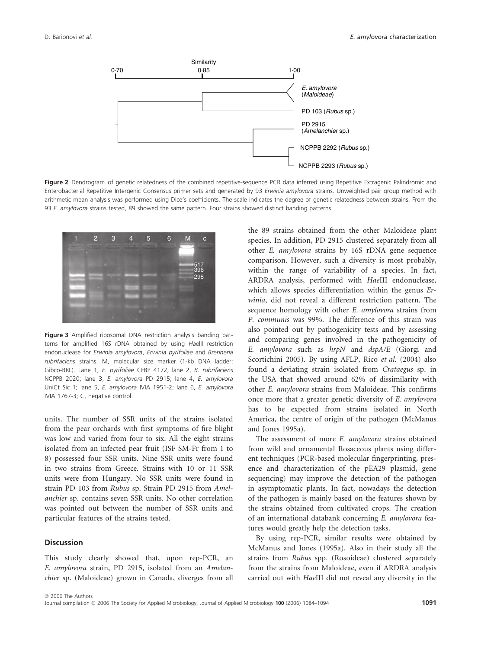

Figure 2 Dendrogram of genetic relatedness of the combined repetitive-sequence PCR data inferred using Repetitive Extragenic Palindromic and Enterobacterial Repetitive Intergenic Consensus primer sets and generated by 93 Erwinia amylovora strains. Unweighted pair group method with arithmetic mean analysis was performed using Dice's coefficients. The scale indicates the degree of genetic relatedness between strains. From the 93 E. amylovora strains tested. 89 showed the same pattern. Four strains showed distinct banding patterns.



Figure 3 Amplified ribosomal DNA restriction analysis banding patterns for amplified 16S rDNA obtained by using HaeIII restriction endonuclease for Erwinia amylovora, Erwinia pyrifoliae and Brenneria rubrifaciens strains. M, molecular size marker (1-kb DNA ladder; Gibco-BRL). Lane 1, E. pyrifoliae CFBP 4172; lane 2, B. rubrifaciens NCPPB 2020; lane 3, E. amylovora PD 2915; lane 4, E. amylovora UniCt Sic 1; lane 5, E. amylovora IVIA 1951-2; lane 6, E. amylovora IVIA 1767-3; C, negative control.

units. The number of SSR units of the strains isolated from the pear orchards with first symptoms of fire blight was low and varied from four to six. All the eight strains isolated from an infected pear fruit (ISF SM-Fr from 1 to 8) possessed four SSR units. Nine SSR units were found in two strains from Greece. Strains with 10 or 11 SSR units were from Hungary. No SSR units were found in strain PD 103 from Rubus sp. Strain PD 2915 from Amelanchier sp. contains seven SSR units. No other correlation was pointed out between the number of SSR units and particular features of the strains tested.

# **Discussion**

This study clearly showed that, upon rep-PCR, an E. amylovora strain, PD 2915, isolated from an Amelanchier sp. (Maloideae) grown in Canada, diverges from all the 89 strains obtained from the other Maloideae plant species. In addition, PD 2915 clustered separately from all other E. amylovora strains by 16S rDNA gene sequence comparison. However, such a diversity is most probably, within the range of variability of a species. In fact, ARDRA analysis, performed with HaeIII endonuclease, which allows species differentiation within the genus Erwinia, did not reveal a different restriction pattern. The sequence homology with other E. amylovora strains from P. communis was 99%. The difference of this strain was also pointed out by pathogenicity tests and by assessing and comparing genes involved in the pathogenicity of E. amylovora such as hrpN and dspA/E (Giorgi and Scortichini 2005). By using AFLP, Rico et al. (2004) also found a deviating strain isolated from Crataegus sp. in the USA that showed around 62% of dissimilarity with other E. amylovora strains from Maloideae. This confirms once more that a greater genetic diversity of E. amylovora has to be expected from strains isolated in North America, the centre of origin of the pathogen (McManus and Jones 1995a).

The assessment of more E. amylovora strains obtained from wild and ornamental Rosaceous plants using different techniques (PCR-based molecular fingerprinting, presence and characterization of the pEA29 plasmid, gene sequencing) may improve the detection of the pathogen in asymptomatic plants. In fact, nowadays the detection of the pathogen is mainly based on the features shown by the strains obtained from cultivated crops. The creation of an international databank concerning E. amylovora features would greatly help the detection tasks.

By using rep-PCR, similar results were obtained by McManus and Jones (1995a). Also in their study all the strains from Rubus spp. (Rosoideae) clustered separately from the strains from Maloideae, even if ARDRA analysis carried out with HaeIII did not reveal any diversity in the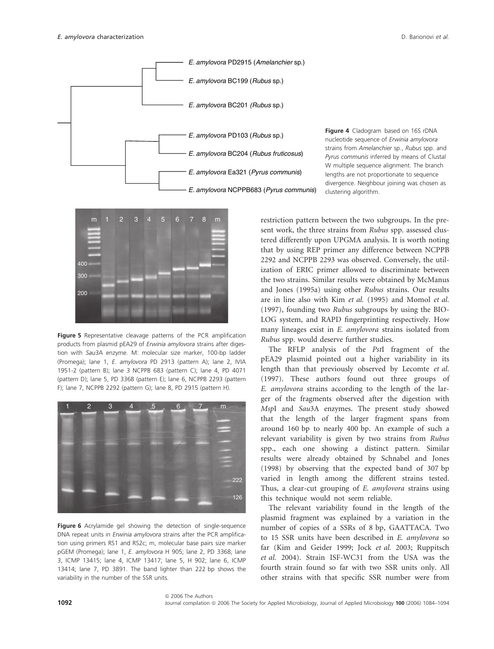

Figure 4 Cladogram based on 16S rDNA nucleotide sequence of Erwinia amylovora strains from Amelanchier sp., Rubus spp. and Pyrus communis inferred by means of Clustal W multiple sequence alignment. The branch lengths are not proportionate to sequence divergence. Neighbour joining was chosen as clustering algorithm.



Figure 5 Representative cleavage patterns of the PCR amplification products from plasmid pEA29 of Erwinia amylovora strains after digestion with Sau3A enzyme. M: molecular size marker, 100-bp ladder (Promega); lane 1, E. amylovora PD 2913 (pattern A); lane 2, IVIA 1951-2 (pattern B); lane 3 NCPPB 683 (pattern C); lane 4, PD 4071 (pattern D); lane 5, PD 3368 (pattern E); lane 6, NCPPB 2293 (pattern F); lane 7, NCPPB 2292 (pattern G); lane 8, PD 2915 (pattern H).



Figure 6 Acrylamide gel showing the detection of single-sequence DNA repeat units in Erwinia amylovora strains after the PCR amplification using primers RS1 and RS2c; m, molecular base pairs size marker pGEM (Promega); lane 1, E. amylovora H 905; lane 2, PD 3368; lane 3, ICMP 13415; lane 4, ICMP 13417; lane 5, H 902; lane 6, ICMP 13414; lane 7, PD 3891. The band lighter than 222 bp shows the variability in the number of the SSR units.

@ 2006 The Authors

restriction pattern between the two subgroups. In the present work, the three strains from Rubus spp. assessed clustered differently upon UPGMA analysis. It is worth noting that by using REP primer any difference between NCPPB 2292 and NCPPB 2293 was observed. Conversely, the utilization of ERIC primer allowed to discriminate between the two strains. Similar results were obtained by McManus and Jones (1995a) using other Rubus strains. Our results are in line also with Kim et al. (1995) and Momol et al. (1997), founding two Rubus subgroups by using the BIO-LOG system, and RAPD fingerprinting respectively. How many lineages exist in E. amylovora strains isolated from Rubus spp. would deserve further studies.

The RFLP analysis of the PstI fragment of the pEA29 plasmid pointed out a higher variability in its length than that previously observed by Lecomte et al. (1997). These authors found out three groups of E. amylovora strains according to the length of the larger of the fragments observed after the digestion with MspI and Sau3A enzymes. The present study showed that the length of the larger fragment spans from around 160 bp to nearly 400 bp. An example of such a relevant variability is given by two strains from Rubus spp., each one showing a distinct pattern. Similar results were already obtained by Schnabel and Jones (1998) by observing that the expected band of 307 bp varied in length among the different strains tested. Thus, a clear-cut grouping of E. amylovora strains using this technique would not seem reliable.

The relevant variability found in the length of the plasmid fragment was explained by a variation in the number of copies of a SSRs of 8 bp, GAATTACA. Two to 15 SSR units have been described in E. amylovora so far (Kim and Geider 1999; Jock et al. 2003; Ruppitsch et al. 2004). Strain ISF-WC31 from the USA was the fourth strain found so far with two SSR units only. All other strains with that specific SSR number were from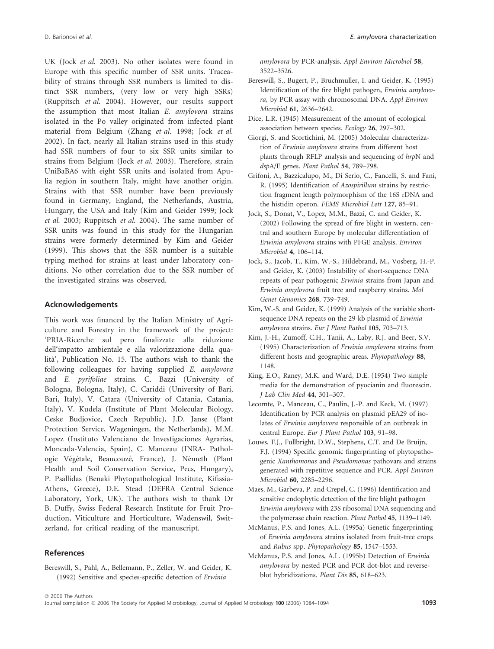UK (Jock et al. 2003). No other isolates were found in Europe with this specific number of SSR units. Traceability of strains through SSR numbers is limited to distinct SSR numbers, (very low or very high SSRs) (Ruppitsch et al. 2004). However, our results support the assumption that most Italian E. amylovora strains isolated in the Po valley originated from infected plant material from Belgium (Zhang et al. 1998; Jock et al. 2002). In fact, nearly all Italian strains used in this study had SSR numbers of four to six SSR units similar to strains from Belgium (Jock et al. 2003). Therefore, strain UniBaBA6 with eight SSR units and isolated from Apulia region in southern Italy, might have another origin. Strains with that SSR number have been previously found in Germany, England, the Netherlands, Austria, Hungary, the USA and Italy (Kim and Geider 1999; Jock et al. 2003; Ruppitsch et al. 2004). The same number of SSR units was found in this study for the Hungarian strains were formerly determined by Kim and Geider (1999). This shows that the SSR number is a suitable typing method for strains at least under laboratory conditions. No other correlation due to the SSR number of the investigated strains was observed.

# Acknowledgements

This work was financed by the Italian Ministry of Agriculture and Forestry in the framework of the project: 'PRIA-Ricerche sul pero finalizzate alla riduzione dell'impatto ambientale e alla valorizzazione della qualita`', Publication No. 15. The authors wish to thank the following colleagues for having supplied E. amylovora and E. pyrifoliae strains. C. Bazzi (University of Bologna, Bologna, Italy), C. Cariddi (University of Bari, Bari, Italy), V. Catara (University of Catania, Catania, Italy), V. Kudela (Institute of Plant Molecular Biology, Ceske Budjovice, Czech Republic), J.D. Janse (Plant Protection Service, Wageningen, the Netherlands), M.M. Lopez (Instituto Valenciano de Investigaciones Agrarias, Moncada-Valencia, Spain), C. Manceau (INRA- Pathologie Végétale, Beaucouzé, France), J. Németh (Plant Health and Soil Conservation Service, Pecs, Hungary), P. Psallidas (Benaki Phytopathological Institute, Kifissia-Athens, Greece), D.E. Stead (DEFRA Central Science Laboratory, York, UK). The authors wish to thank Dr B. Duffy, Swiss Federal Research Institute for Fruit Production, Viticulture and Horticulture, Wadenswil, Switzerland, for critical reading of the manuscript.

# References

Bereswill, S., Pahl, A., Bellemann, P., Zeller, W. and Geider, K. (1992) Sensitive and species-specific detection of Erwinia

amylovora by PCR-analysis. Appl Environ Microbiol 58, 3522–3526.

- Bereswill, S., Bugert, P., Bruchmuller, I. and Geider, K. (1995) Identification of the fire blight pathogen, Erwinia amylovora, by PCR assay with chromosomal DNA. Appl Environ Microbiol 61, 2636–2642.
- Dice, L.R. (1945) Measurement of the amount of ecological association between species. Ecology 26, 297–302.
- Giorgi, S. and Scortichini, M. (2005) Molecular characterization of Erwinia amylovora strains from different host plants through RFLP analysis and sequencing of hrpN and dspA/E genes. Plant Pathol 54, 789–798.
- Grifoni, A., Bazzicalupo, M., Di Serio, C., Fancelli, S. and Fani, R. (1995) Identification of Azospirillum strains by restriction fragment length polymorphism of the 16S rDNA and the histidin operon. FEMS Microbiol Lett 127, 85–91.
- Jock, S., Donat, V., Lopez, M.M., Bazzi, C. and Geider, K. (2002) Following the spread of fire blight in western, central and southern Europe by molecular differentiation of Erwinia amylovora strains with PFGE analysis. Environ Microbiol 4, 106–114.
- Jock, S., Jacob, T., Kim, W.-S., Hildebrand, M., Vosberg, H.-P. and Geider, K. (2003) Instability of short-sequence DNA repeats of pear pathogenic Erwinia strains from Japan and Erwinia amylovora fruit tree and raspberry strains. Mol Genet Genomics 268, 739–749.
- Kim, W.-S. and Geider, K. (1999) Analysis of the variable shortsequence DNA repeats on the 29 kb plasmid of Erwinia amylovora strains. Eur J Plant Pathol 105, 703–713.
- Kim, J.-H., Zumoff, C.H., Tanii, A., Laby, R.J. and Beer, S.V. (1995) Characterization of Erwinia amylovora strains from different hosts and geographic areas. Phytopathology 88, 1148.
- King, E.O., Raney, M.K. and Ward, D.E. (1954) Two simple media for the demonstration of pyocianin and fluorescin. J Lab Clin Med 44, 301–307.
- Lecomte, P., Manceau, C., Paulin, J.-P. and Keck, M. (1997) Identification by PCR analysis on plasmid pEA29 of isolates of Erwinia amylovora responsible of an outbreak in central Europe. Eur J Plant Pathol 103, 91–98.
- Louws, F.J., Fullbright, D.W., Stephens, C.T. and De Bruijn, F.J. (1994) Specific genomic fingerprinting of phytopathogenic Xanthomonas and Pseudomonas pathovars and strains generated with repetitive sequence and PCR. Appl Environ Microbiol 60, 2285–2296.
- Maes, M., Garbeva, P. and Crepel, C. (1996) Identification and sensitive endophytic detection of the fire blight pathogen Erwinia amylovora with 23S ribosomal DNA sequencing and the polymerase chain reaction. Plant Pathol 45, 1139–1149.
- McManus, P.S. and Jones, A.L. (1995a) Genetic fingerprinting of Erwinia amylovora strains isolated from fruit-tree crops and Rubus spp. Phytopathology 85, 1547–1553.
- McManus, P.S. and Jones, A.L. (1995b) Detection of Erwinia amylovora by nested PCR and PCR dot-blot and reverseblot hybridizations. Plant Dis 85, 618–623.

Journal compilation @ 2006 The Society for Applied Microbiology, Journal of Applied Microbiology 100 (2006) 1084-1094 1093